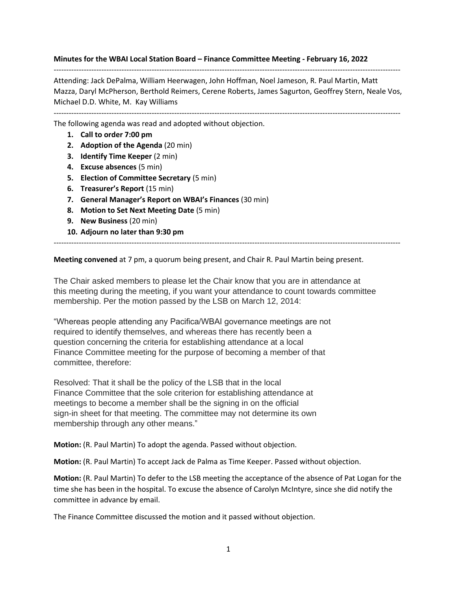**Minutes for the WBAI Local Station Board – Finance Committee Meeting - February 16, 2022**

Attending: Jack DePalma, William Heerwagen, John Hoffman, Noel Jameson, R. Paul Martin, Matt Mazza, Daryl McPherson, Berthold Reimers, Cerene Roberts, James Sagurton, Geoffrey Stern, Neale Vos, Michael D.D. White, M. Kay Williams

------------------------------------------------------------------------------------------------------------------------------------------

------------------------------------------------------------------------------------------------------------------------------------------

The following agenda was read and adopted without objection.

- **1. Call to order 7:00 pm**
- **2. Adoption of the Agenda** (20 min)
- **3. Identify Time Keeper** (2 min)
- **4. Excuse absences** (5 min)
- **5. Election of Committee Secretary** (5 min)
- **6. Treasurer's Report** (15 min)
- **7. General Manager's Report on WBAI's Finances** (30 min)
- **8. Motion to Set Next Meeting Date** (5 min)
- **9. New Business** (20 min)
- **10. Adjourn no later than 9:30 pm**

**Meeting convened** at 7 pm, a quorum being present, and Chair R. Paul Martin being present.

------------------------------------------------------------------------------------------------------------------------------------------

The Chair asked members to please let the Chair know that you are in attendance at this meeting during the meeting, if you want your attendance to count towards committee membership. Per the motion passed by the LSB on March 12, 2014:

"Whereas people attending any Pacifica/WBAI governance meetings are not required to identify themselves, and whereas there has recently been a question concerning the criteria for establishing attendance at a local Finance Committee meeting for the purpose of becoming a member of that committee, therefore:

Resolved: That it shall be the policy of the LSB that in the local Finance Committee that the sole criterion for establishing attendance at meetings to become a member shall be the signing in on the official sign-in sheet for that meeting. The committee may not determine its own membership through any other means."

**Motion:** (R. Paul Martin) To adopt the agenda. Passed without objection.

**Motion:** (R. Paul Martin) To accept Jack de Palma as Time Keeper. Passed without objection.

**Motion:** (R. Paul Martin) To defer to the LSB meeting the acceptance of the absence of Pat Logan for the time she has been in the hospital. To excuse the absence of Carolyn McIntyre, since she did notify the committee in advance by email.

The Finance Committee discussed the motion and it passed without objection.